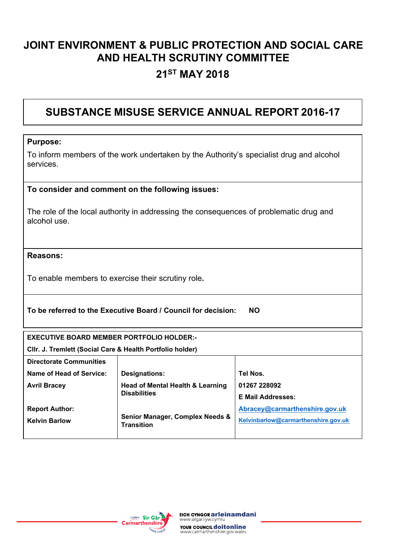### **JOINT ENVIRONMENT & PUBLIC PROTECTION AND SOCIAL CARE AND HEALTH SCRUTINY COMMITTEE**

### **21ST MAY 2018**

#### **SUBSTANCE MISUSE SERVICE ANNUAL REPORT 2016-17**

#### **Purpose:**

To inform members of the work undertaken by the Authority's specialist drug and alcohol services.

#### **To consider and comment on the following issues:**

The role of the local authority in addressing the consequences of problematic drug and alcohol use.

#### **Reasons:**

To enable members to exercise their scrutiny role**.** 

#### **To be referred to the Executive Board / Council for decision: NO**

**Cllr. J. Tremlett (Social Care & Health Portfolio holder)**

| <b>Directorate Communities</b> |                                                                    |                                     |  |  |
|--------------------------------|--------------------------------------------------------------------|-------------------------------------|--|--|
| Name of Head of Service:       | <b>Designations:</b>                                               | Tel Nos.                            |  |  |
| <b>Avril Bracey</b>            | <b>Head of Mental Health &amp; Learning</b><br><b>Disabilities</b> | 01267 228092                        |  |  |
|                                |                                                                    | <b>E Mail Addresses:</b>            |  |  |
| <b>Report Author:</b>          |                                                                    | Abracey@carmarthenshire.gov.uk      |  |  |
| <b>Kelvin Barlow</b>           | Senior Manager, Complex Needs &<br><b>Transition</b>               | Kelvinbarlow@carmarthenshire.gov.uk |  |  |
|                                |                                                                    |                                     |  |  |

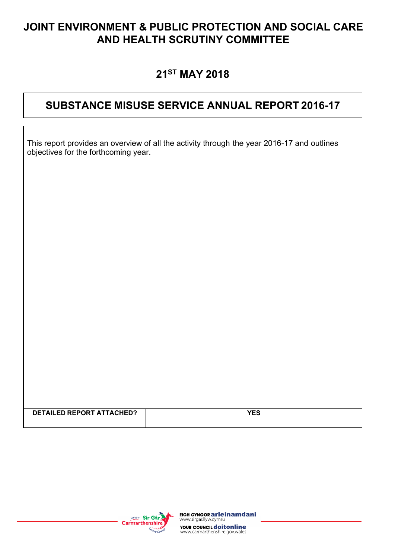### **JOINT ENVIRONMENT & PUBLIC PROTECTION AND SOCIAL CARE AND HEALTH SCRUTINY COMMITTEE**

### **21ST MAY 2018**

### **SUBSTANCE MISUSE SERVICE ANNUAL REPORT 2016-17**

| This report provides an overview of all the activity through the year 2016-17 and outlines |  |
|--------------------------------------------------------------------------------------------|--|
| objectives for the forthcoming year.                                                       |  |

| <b>DETAILED REPORT ATTACHED?</b> |  |
|----------------------------------|--|
|                                  |  |
|                                  |  |
|                                  |  |